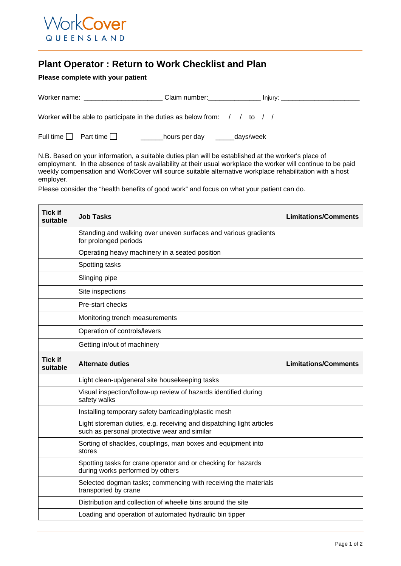

## **Plant Operator : Return to Work Checklist and Plan**

## **Please complete with your patient**

| Worker name:                                                                                       | Claim number:              | Injury: $\_$ |
|----------------------------------------------------------------------------------------------------|----------------------------|--------------|
|                                                                                                    |                            |              |
| Worker will be able to participate in the duties as below from: $\frac{1}{100}$ to $\frac{1}{100}$ |                            |              |
|                                                                                                    |                            |              |
| Full time     Part time                                                                            | days/week<br>hours per day |              |

N.B. Based on your information, a suitable duties plan will be established at the worker's place of employment. In the absence of task availability at their usual workplace the worker will continue to be paid weekly compensation and WorkCover will source suitable alternative workplace rehabilitation with a host employer.

Please consider the "health benefits of good work" and focus on what your patient can do.

| <b>Tick if</b><br>suitable | <b>Job Tasks</b>                                                                                                     | <b>Limitations/Comments</b> |
|----------------------------|----------------------------------------------------------------------------------------------------------------------|-----------------------------|
|                            | Standing and walking over uneven surfaces and various gradients<br>for prolonged periods                             |                             |
|                            | Operating heavy machinery in a seated position                                                                       |                             |
|                            | Spotting tasks                                                                                                       |                             |
|                            | Slinging pipe                                                                                                        |                             |
|                            | Site inspections                                                                                                     |                             |
|                            | Pre-start checks                                                                                                     |                             |
|                            | Monitoring trench measurements                                                                                       |                             |
|                            | Operation of controls/levers                                                                                         |                             |
|                            | Getting in/out of machinery                                                                                          |                             |
| <b>Tick if</b><br>suitable | <b>Alternate duties</b>                                                                                              | <b>Limitations/Comments</b> |
|                            | Light clean-up/general site housekeeping tasks                                                                       |                             |
|                            | Visual inspection/follow-up review of hazards identified during<br>safety walks                                      |                             |
|                            | Installing temporary safety barricading/plastic mesh                                                                 |                             |
|                            | Light storeman duties, e.g. receiving and dispatching light articles<br>such as personal protective wear and similar |                             |
|                            | Sorting of shackles, couplings, man boxes and equipment into<br>stores                                               |                             |
|                            | Spotting tasks for crane operator and or checking for hazards<br>during works performed by others                    |                             |
|                            | Selected dogman tasks; commencing with receiving the materials<br>transported by crane                               |                             |
|                            | Distribution and collection of wheelie bins around the site                                                          |                             |
|                            | Loading and operation of automated hydraulic bin tipper                                                              |                             |